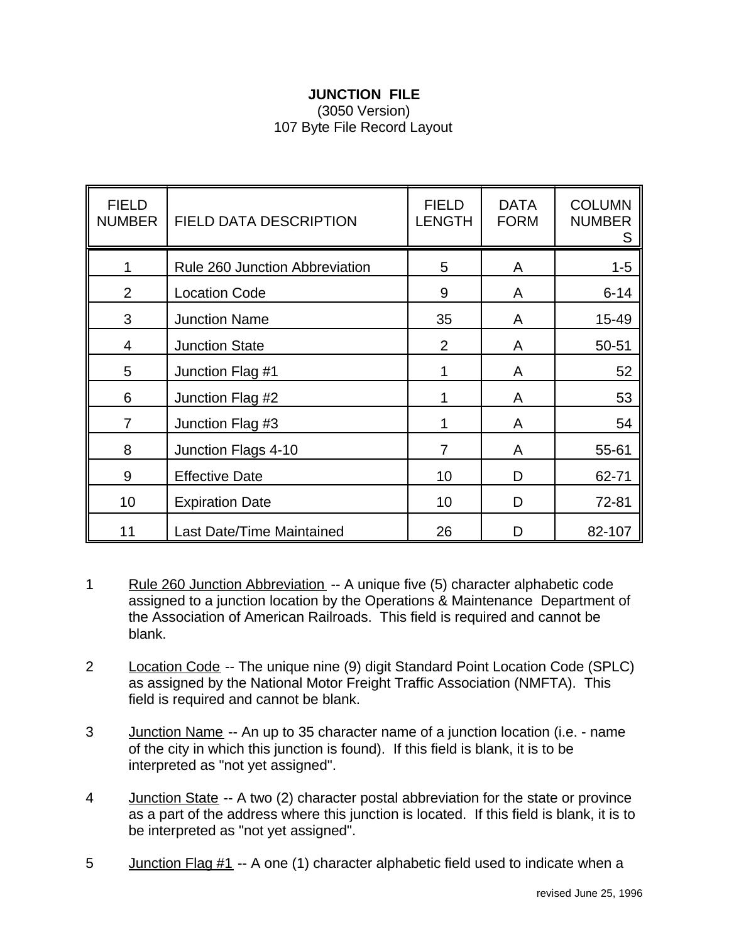## **JUNCTION FILE** (3050 Version) 107 Byte File Record Layout

| <b>FIELD</b><br><b>NUMBER</b> | <b>FIELD DATA DESCRIPTION</b>         | <b>FIELD</b><br><b>LENGTH</b> | <b>DATA</b><br><b>FORM</b> | <b>COLUMN</b><br><b>NUMBER</b><br>S |
|-------------------------------|---------------------------------------|-------------------------------|----------------------------|-------------------------------------|
|                               | <b>Rule 260 Junction Abbreviation</b> | 5                             | A                          | $1 - 5$                             |
| $\overline{2}$                | <b>Location Code</b>                  | 9                             | A                          | $6 - 14$                            |
| 3                             | <b>Junction Name</b>                  | 35                            | A                          | 15-49                               |
| 4                             | <b>Junction State</b>                 | $\overline{2}$                | A                          | 50-51                               |
| 5                             | Junction Flag #1                      | 1                             | A                          | 52                                  |
| 6                             | Junction Flag #2                      |                               | A                          | 53                                  |
| $\overline{7}$                | Junction Flag #3                      | 1                             | A                          | 54                                  |
| 8                             | Junction Flags 4-10                   | 7                             | A                          | 55-61                               |
| 9                             | <b>Effective Date</b>                 | 10                            | D                          | 62-71                               |
| 10                            | <b>Expiration Date</b>                | 10                            | D                          | 72-81                               |
| 11                            | Last Date/Time Maintained             | 26                            | D                          | 82-107                              |

- 1 Rule 260 Junction Abbreviation -- A unique five (5) character alphabetic code assigned to a junction location by the Operations & Maintenance Department of the Association of American Railroads. This field is required and cannot be blank.
- 2 Location Code -- The unique nine (9) digit Standard Point Location Code (SPLC) as assigned by the National Motor Freight Traffic Association (NMFTA). This field is required and cannot be blank.
- 3 Junction Name -- An up to 35 character name of a junction location (i.e. name of the city in which this junction is found). If this field is blank, it is to be interpreted as "not yet assigned".
- 4 Junction State -- A two (2) character postal abbreviation for the state or province as a part of the address where this junction is located. If this field is blank, it is to be interpreted as "not yet assigned".
- 5 Junction Flag #1 -- A one (1) character alphabetic field used to indicate when a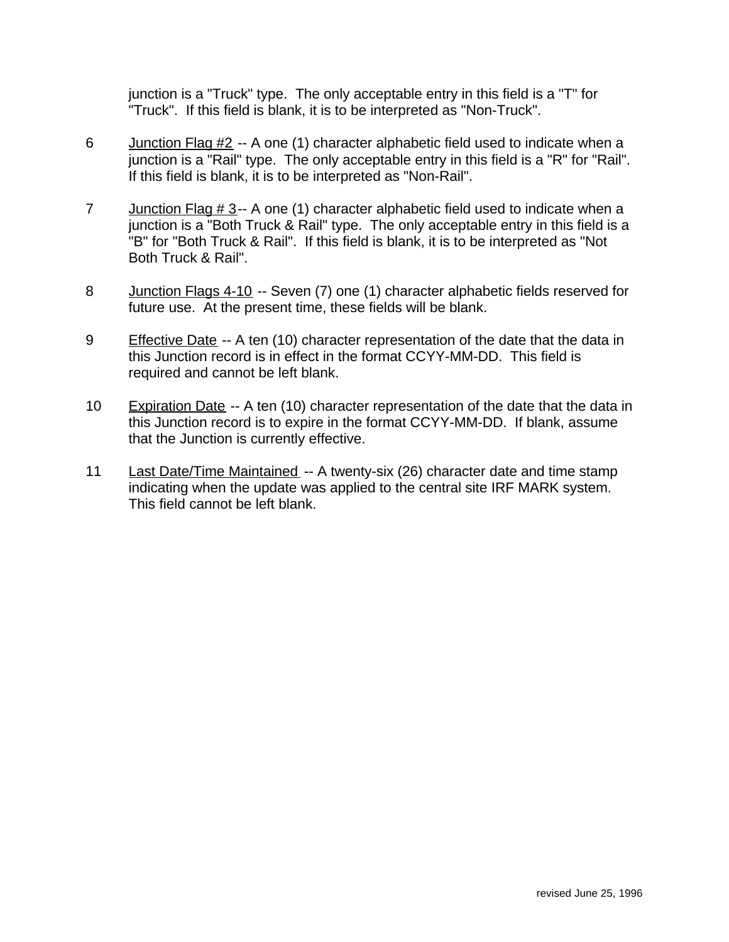junction is a "Truck" type. The only acceptable entry in this field is a "T" for "Truck". If this field is blank, it is to be interpreted as "Non-Truck".

- 6 Junction Flag #2 -- A one (1) character alphabetic field used to indicate when a junction is a "Rail" type. The only acceptable entry in this field is a "R" for "Rail". If this field is blank, it is to be interpreted as "Non-Rail".
- 7 Junction Flag  $\# 3$ -- A one (1) character alphabetic field used to indicate when a junction is a "Both Truck & Rail" type. The only acceptable entry in this field is a "B" for "Both Truck & Rail". If this field is blank, it is to be interpreted as "Not Both Truck & Rail".
- 8 Junction Flags 4-10 -- Seven (7) one (1) character alphabetic fields reserved for future use. At the present time, these fields will be blank.
- 9 Effective Date -- A ten (10) character representation of the date that the data in this Junction record is in effect in the format CCYY-MM-DD. This field is required and cannot be left blank.
- 10 Expiration Date -- A ten (10) character representation of the date that the data in this Junction record is to expire in the format CCYY-MM-DD. If blank, assume that the Junction is currently effective.
- 11 Last Date/Time Maintained -- A twenty-six (26) character date and time stamp indicating when the update was applied to the central site IRF MARK system. This field cannot be left blank.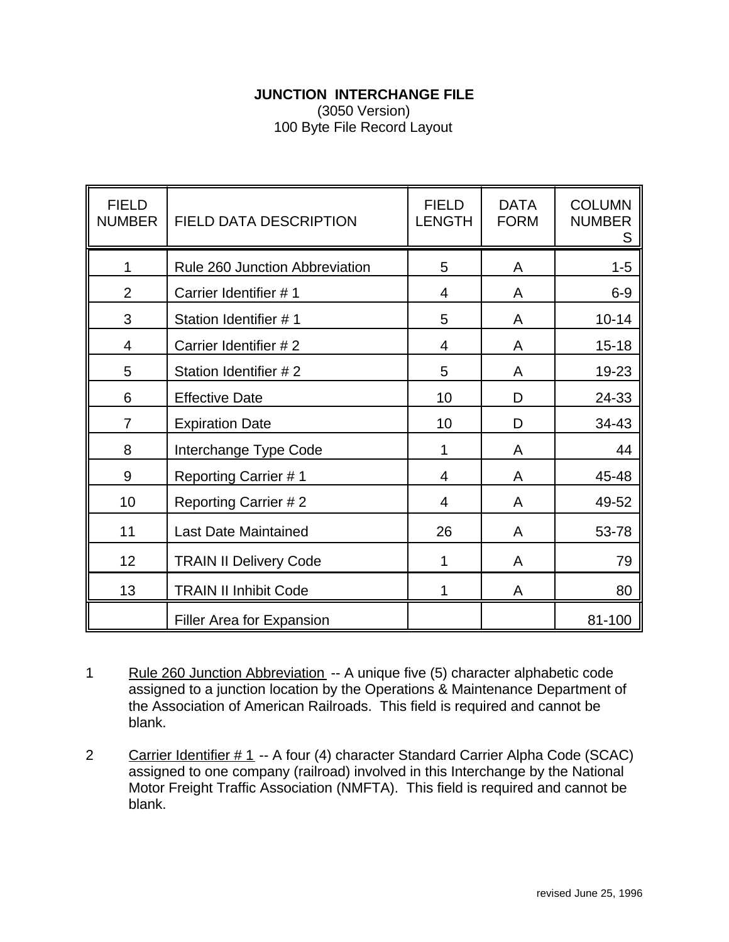## **JUNCTION INTERCHANGE FILE**

(3050 Version) 100 Byte File Record Layout

| <b>FIELD</b><br><b>NUMBER</b> | <b>FIELD DATA DESCRIPTION</b>    | <b>FIELD</b><br><b>LENGTH</b> | <b>DATA</b><br><b>FORM</b> | <b>COLUMN</b><br><b>NUMBER</b><br>S |
|-------------------------------|----------------------------------|-------------------------------|----------------------------|-------------------------------------|
|                               | Rule 260 Junction Abbreviation   | 5                             | A                          | $1 - 5$                             |
| $\overline{2}$                | Carrier Identifier #1            | 4                             | A                          | $6-9$                               |
| 3                             | Station Identifier #1            | 5                             | A                          | $10 - 14$                           |
| 4                             | Carrier Identifier #2            | 4                             | A                          | $15 - 18$                           |
| 5                             | Station Identifier #2            | 5                             | A                          | 19-23                               |
| 6                             | <b>Effective Date</b>            | 10                            | D                          | 24-33                               |
| $\overline{7}$                | <b>Expiration Date</b>           | 10                            | D                          | 34-43                               |
| 8                             | Interchange Type Code            | 1                             | A                          | 44                                  |
| 9                             | <b>Reporting Carrier #1</b>      | 4                             | A                          | 45-48                               |
| 10                            | <b>Reporting Carrier #2</b>      | 4                             | A                          | 49-52                               |
| 11                            | <b>Last Date Maintained</b>      | 26                            | A                          | 53-78                               |
| 12                            | <b>TRAIN II Delivery Code</b>    | 1                             | A                          | 79                                  |
| 13                            | <b>TRAIN II Inhibit Code</b>     | 1                             | A                          | 80                                  |
|                               | <b>Filler Area for Expansion</b> |                               |                            | 81-100                              |

1 Rule 260 Junction Abbreviation -- A unique five (5) character alphabetic code assigned to a junction location by the Operations & Maintenance Department of the Association of American Railroads. This field is required and cannot be blank.

2 Carrier Identifier # 1 -- A four (4) character Standard Carrier Alpha Code (SCAC) assigned to one company (railroad) involved in this Interchange by the National Motor Freight Traffic Association (NMFTA). This field is required and cannot be blank.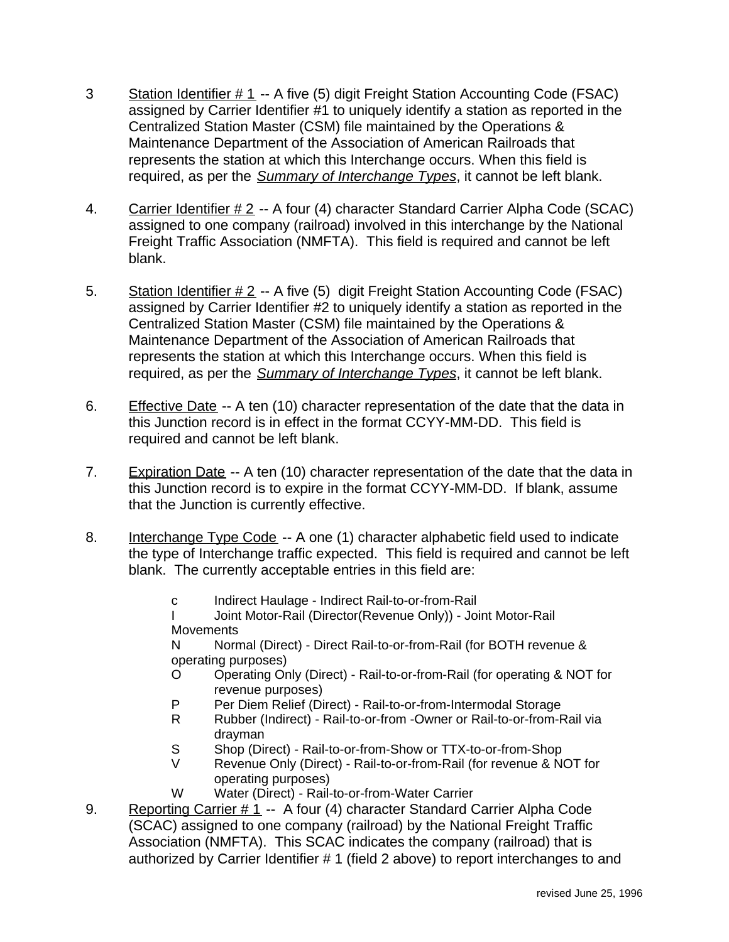- 3 Station Identifier # 1 -- A five (5) digit Freight Station Accounting Code (FSAC) assigned by Carrier Identifier #1 to uniquely identify a station as reported in the Centralized Station Master (CSM) file maintained by the Operations & Maintenance Department of the Association of American Railroads that represents the station at which this Interchange occurs. When this field is required, as per the *Summary of Interchange Types*, it cannot be left blank.
- 4. Carrier Identifier # 2 -- A four (4) character Standard Carrier Alpha Code (SCAC) assigned to one company (railroad) involved in this interchange by the National Freight Traffic Association (NMFTA). This field is required and cannot be left blank.
- 5. Station Identifier # 2 -- A five (5) digit Freight Station Accounting Code (FSAC) assigned by Carrier Identifier #2 to uniquely identify a station as reported in the Centralized Station Master (CSM) file maintained by the Operations & Maintenance Department of the Association of American Railroads that represents the station at which this Interchange occurs. When this field is required, as per the *Summary of Interchange Types*, it cannot be left blank.
- 6. Effective Date -- A ten (10) character representation of the date that the data in this Junction record is in effect in the format CCYY-MM-DD. This field is required and cannot be left blank.
- 7. Expiration Date -- A ten (10) character representation of the date that the data in this Junction record is to expire in the format CCYY-MM-DD. If blank, assume that the Junction is currently effective.
- 8. Interchange Type Code -- A one (1) character alphabetic field used to indicate the type of Interchange traffic expected. This field is required and cannot be left blank. The currently acceptable entries in this field are:
	- c Indirect Haulage Indirect Rail-to-or-from-Rail
	- I Joint Motor-Rail (Director(Revenue Only)) Joint Motor-Rail **Movements**

N Normal (Direct) - Direct Rail-to-or-from-Rail (for BOTH revenue & operating purposes)

- O Operating Only (Direct) Rail-to-or-from-Rail (for operating & NOT for revenue purposes)
- P Per Diem Relief (Direct) Rail-to-or-from-Intermodal Storage
- R Rubber (Indirect) Rail-to-or-from -Owner or Rail-to-or-from-Rail via drayman
- S Shop (Direct) Rail-to-or-from-Show or TTX-to-or-from-Shop
- V Revenue Only (Direct) Rail-to-or-from-Rail (for revenue & NOT for operating purposes)
- W Water (Direct) Rail-to-or-from-Water Carrier
- 9. Reporting Carrier # 1 -- A four (4) character Standard Carrier Alpha Code (SCAC) assigned to one company (railroad) by the National Freight Traffic Association (NMFTA). This SCAC indicates the company (railroad) that is authorized by Carrier Identifier # 1 (field 2 above) to report interchanges to and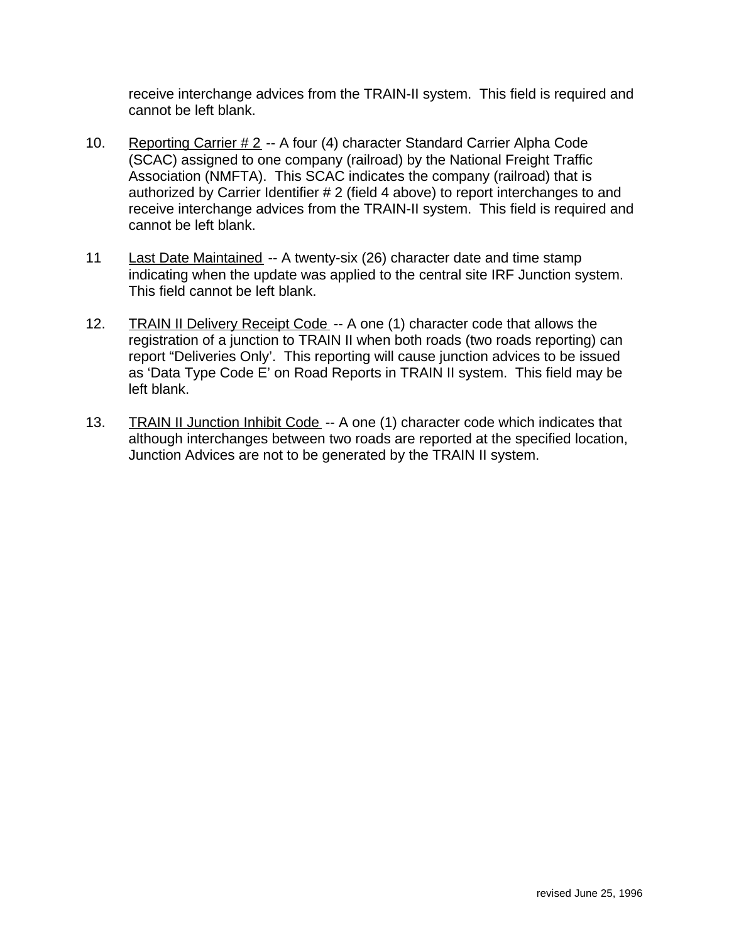receive interchange advices from the TRAIN-II system. This field is required and cannot be left blank.

- 10. Reporting Carrier # 2 -- A four (4) character Standard Carrier Alpha Code (SCAC) assigned to one company (railroad) by the National Freight Traffic Association (NMFTA). This SCAC indicates the company (railroad) that is authorized by Carrier Identifier # 2 (field 4 above) to report interchanges to and receive interchange advices from the TRAIN-II system. This field is required and cannot be left blank.
- 11 Last Date Maintained -- A twenty-six (26) character date and time stamp indicating when the update was applied to the central site IRF Junction system. This field cannot be left blank.
- 12. TRAIN II Delivery Receipt Code -- A one (1) character code that allows the registration of a junction to TRAIN II when both roads (two roads reporting) can report "Deliveries Only'. This reporting will cause junction advices to be issued as 'Data Type Code E' on Road Reports in TRAIN II system. This field may be left blank.
- 13. TRAIN II Junction Inhibit Code -- A one (1) character code which indicates that although interchanges between two roads are reported at the specified location, Junction Advices are not to be generated by the TRAIN II system.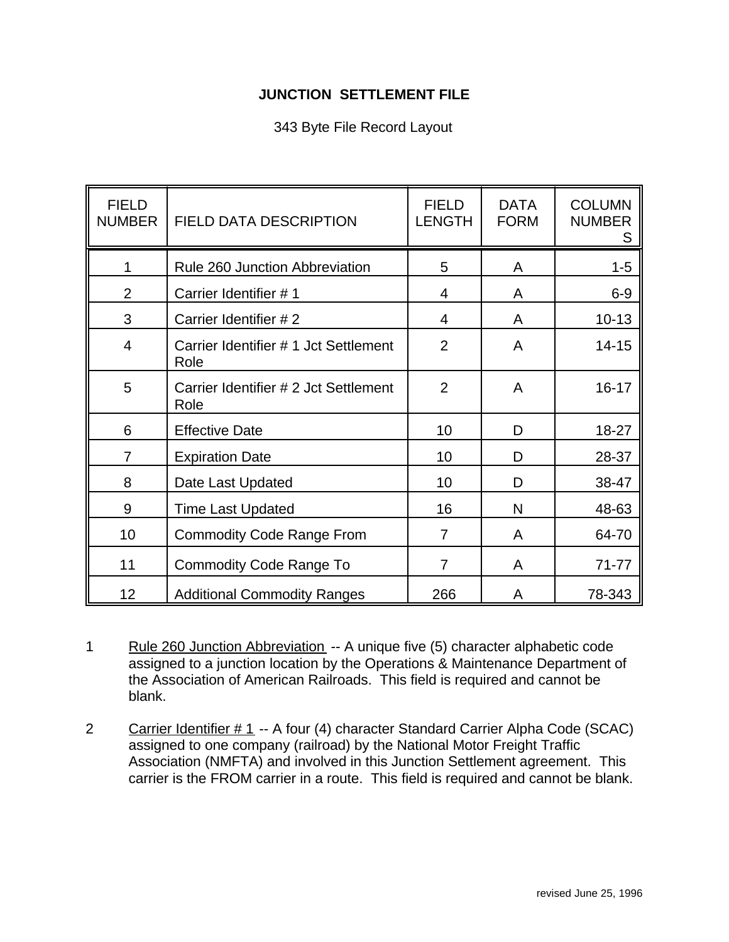## **JUNCTION SETTLEMENT FILE**

## 343 Byte File Record Layout

| <b>FIELD</b><br><b>NUMBER</b> | FIELD DATA DESCRIPTION                        | <b>FIELD</b><br><b>LENGTH</b> | <b>DATA</b><br><b>FORM</b> | <b>COLUMN</b><br><b>NUMBER</b><br>S |
|-------------------------------|-----------------------------------------------|-------------------------------|----------------------------|-------------------------------------|
|                               | Rule 260 Junction Abbreviation                | 5                             | A                          | $1 - 5$                             |
| $\overline{2}$                | Carrier Identifier #1                         | 4                             | A                          | $6-9$                               |
| 3                             | Carrier Identifier #2                         | 4                             | A                          | $10 - 13$                           |
| $\overline{4}$                | Carrier Identifier # 1 Jct Settlement<br>Role | $\overline{2}$                | A                          | $14 - 15$                           |
| 5                             | Carrier Identifier # 2 Jct Settlement<br>Role | $\overline{2}$                | A                          | $16 - 17$                           |
| 6                             | <b>Effective Date</b>                         | 10                            | D                          | 18-27                               |
| $\overline{7}$                | <b>Expiration Date</b>                        | 10                            | D                          | 28-37                               |
| 8                             | Date Last Updated                             | 10                            | D                          | 38-47                               |
| 9                             | <b>Time Last Updated</b>                      | 16                            | N                          | 48-63                               |
| 10                            | <b>Commodity Code Range From</b>              | 7                             | A                          | 64-70                               |
| 11                            | <b>Commodity Code Range To</b>                | 7                             | A                          | $71 - 77$                           |
| 12                            | <b>Additional Commodity Ranges</b>            | 266                           | A                          | 78-343                              |

1 Rule 260 Junction Abbreviation -- A unique five (5) character alphabetic code assigned to a junction location by the Operations & Maintenance Department of the Association of American Railroads. This field is required and cannot be blank.

2 Carrier Identifier # 1 -- A four (4) character Standard Carrier Alpha Code (SCAC) assigned to one company (railroad) by the National Motor Freight Traffic Association (NMFTA) and involved in this Junction Settlement agreement. This carrier is the FROM carrier in a route. This field is required and cannot be blank.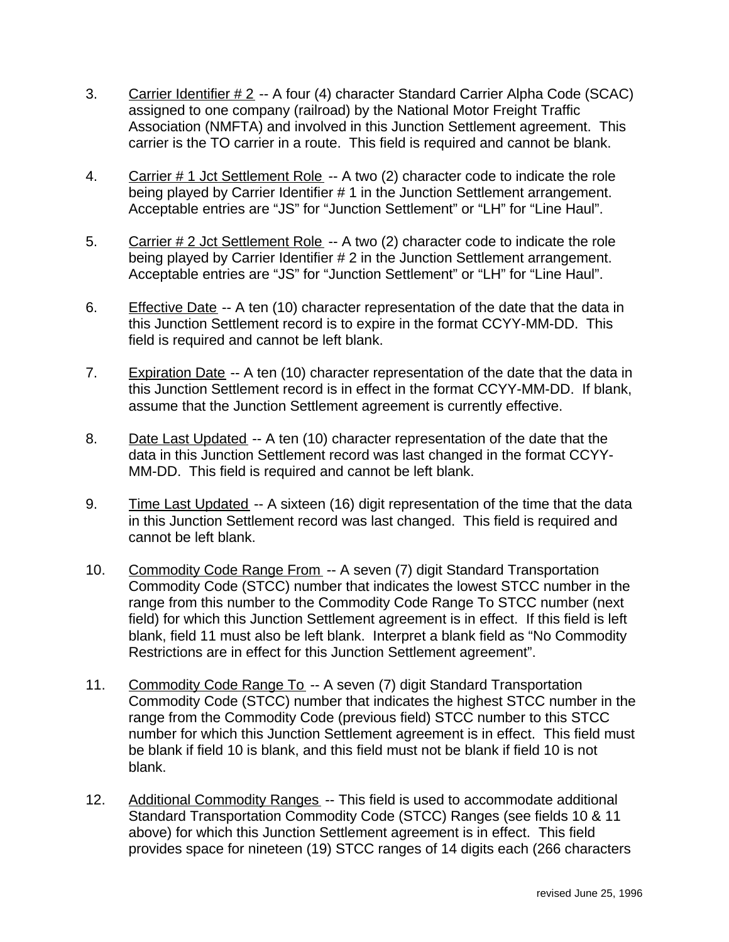- 3. Carrier Identifier # 2 -- A four (4) character Standard Carrier Alpha Code (SCAC) assigned to one company (railroad) by the National Motor Freight Traffic Association (NMFTA) and involved in this Junction Settlement agreement. This carrier is the TO carrier in a route. This field is required and cannot be blank.
- 4. Carrier # 1 Jct Settlement Role -- A two (2) character code to indicate the role being played by Carrier Identifier # 1 in the Junction Settlement arrangement. Acceptable entries are "JS" for "Junction Settlement" or "LH" for "Line Haul".
- 5. Carrier # 2 Jct Settlement Role -- A two (2) character code to indicate the role being played by Carrier Identifier # 2 in the Junction Settlement arrangement. Acceptable entries are "JS" for "Junction Settlement" or "LH" for "Line Haul".
- 6. Effective Date -- A ten (10) character representation of the date that the data in this Junction Settlement record is to expire in the format CCYY-MM-DD. This field is required and cannot be left blank.
- 7. Expiration Date -- A ten (10) character representation of the date that the data in this Junction Settlement record is in effect in the format CCYY-MM-DD. If blank, assume that the Junction Settlement agreement is currently effective.
- 8. Date Last Updated -- A ten (10) character representation of the date that the data in this Junction Settlement record was last changed in the format CCYY-MM-DD. This field is required and cannot be left blank.
- 9. Time Last Updated -- A sixteen (16) digit representation of the time that the data in this Junction Settlement record was last changed. This field is required and cannot be left blank.
- 10. Commodity Code Range From -- A seven (7) digit Standard Transportation Commodity Code (STCC) number that indicates the lowest STCC number in the range from this number to the Commodity Code Range To STCC number (next field) for which this Junction Settlement agreement is in effect. If this field is left blank, field 11 must also be left blank. Interpret a blank field as "No Commodity Restrictions are in effect for this Junction Settlement agreement".
- 11. Commodity Code Range To -- A seven (7) digit Standard Transportation Commodity Code (STCC) number that indicates the highest STCC number in the range from the Commodity Code (previous field) STCC number to this STCC number for which this Junction Settlement agreement is in effect. This field must be blank if field 10 is blank, and this field must not be blank if field 10 is not blank.
- 12. Additional Commodity Ranges -- This field is used to accommodate additional Standard Transportation Commodity Code (STCC) Ranges (see fields 10 & 11 above) for which this Junction Settlement agreement is in effect. This field provides space for nineteen (19) STCC ranges of 14 digits each (266 characters